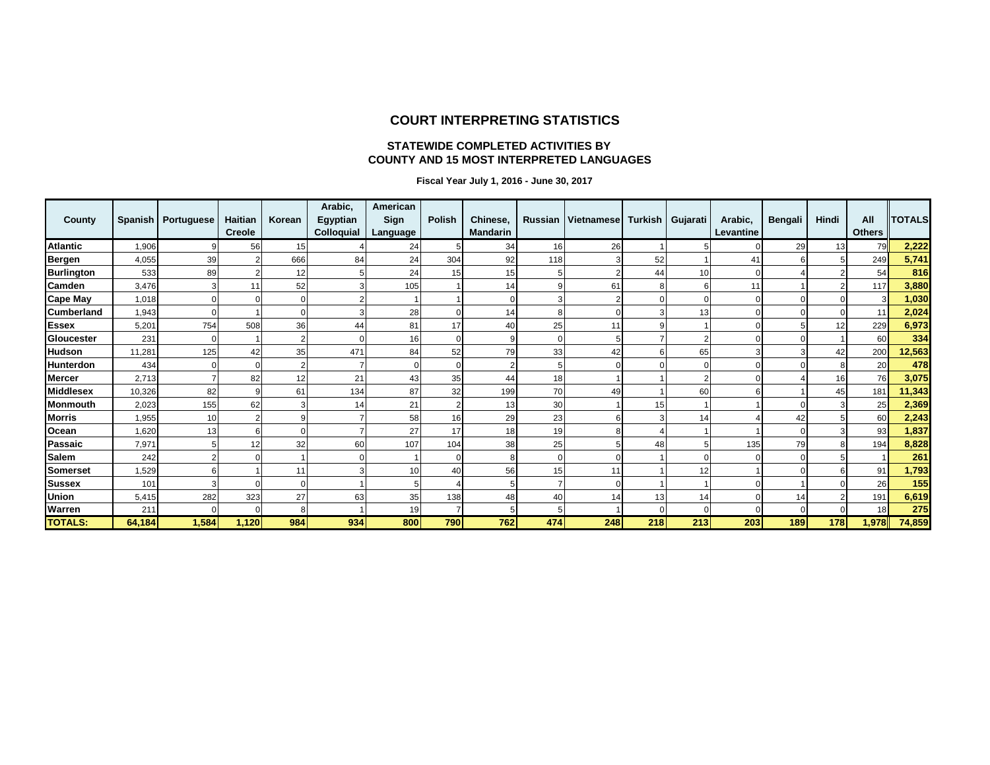#### **COURT INTERPRETING STATISTICS**

#### **STATEWIDE COMPLETED ACTIVITIES BY COUNTY AND 15 MOST INTERPRETED LANGUAGES**

 **Fiscal Year July 1, 2016 - June 30, 2017**

| County            |        | Spanish   Portuguese | Haitian<br><b>Creole</b> | Korean | Arabic,<br>Egyptian<br>Colloquial | American<br>Sign<br>Language | Polish | Chinese,<br><b>Mandarin</b> |     | Russian   Vietnamese   Turkish |     | Gujarati | Arabic,<br>Levantine | <b>Bengali</b> | Hindi | All<br><b>Others</b> | <b>TOTALS</b> |
|-------------------|--------|----------------------|--------------------------|--------|-----------------------------------|------------------------------|--------|-----------------------------|-----|--------------------------------|-----|----------|----------------------|----------------|-------|----------------------|---------------|
| <b>Atlantic</b>   | 1,906  | 9                    | 56                       | 15     |                                   | 24                           |        | 34                          | 16  | 26                             |     |          |                      | 29             | 13    | 79                   | 2,222         |
| <b>Bergen</b>     | 4,055  | 39                   |                          | 666    | 84                                | 24                           | 304    | 92                          | 118 |                                | 52  |          | 41                   |                |       | 249                  | 5,741         |
| <b>Burlington</b> | 533    | 89                   |                          | 12     |                                   | 24                           | 15     | 15                          |     |                                | 44  | 10       | $\Omega$             |                |       | 54                   | 816           |
| Camden            | 3,476  |                      |                          | 52     |                                   | 105                          |        | 14                          |     | 61                             | 8   |          | 11                   |                |       | 117                  | 3,880         |
| <b>Cape May</b>   | 1.018  |                      |                          |        |                                   |                              |        |                             |     |                                |     |          |                      |                |       | 3                    | 1,030         |
| <b>Cumberland</b> | 1,943  |                      |                          |        |                                   | 28                           |        | 14                          |     |                                |     | 13       | O                    |                |       | 11                   | 2,024         |
| <b>Essex</b>      | 5,201  | 754                  | 508                      | 36     | 44                                | 81                           | 17     | 40                          | 25  | 11                             | 9   |          | $\Omega$             |                | 12    | 229                  | 6,973         |
| Gloucester        | 231    | $\Omega$             |                          |        |                                   | 16 <sub>1</sub>              |        |                             |     |                                |     | 2        | O                    |                |       | 60                   | 334           |
| <b>Hudson</b>     | 11,281 | 125                  | 42                       | 35     | 471                               | 84                           | 52     | 79                          | 33  | 42                             |     | 65       | 3                    |                | 42    | 200                  | 12,563        |
| Hunterdon         | 434    |                      |                          |        |                                   |                              |        |                             |     |                                |     |          |                      |                |       | 20                   | 478           |
| <b>Mercer</b>     | 2,713  |                      | 82                       | 12     | 21                                | 43                           | 35     | 44                          | 18  |                                |     | 2        |                      |                | 16    | 76                   | 3,075         |
| <b>Middlesex</b>  | 10,326 | 82                   |                          | 61     | 134                               | 87                           | 32     | 199                         | 70  | 49                             |     | 60       | 6                    |                | 45    | 181                  | 11,343        |
| <b>Monmouth</b>   | 2,023  | 155                  | 62                       |        | 14                                | 21                           |        | 13                          | 30  |                                | 15  |          |                      |                |       | 25                   | 2,369         |
| <b>Morris</b>     | 1,955  | 10                   |                          |        |                                   | 58                           | 16     | 29                          | 23  |                                |     | 14       |                      | 42             |       | 60                   | 2,243         |
| Ocean             | 1,620  | 13                   |                          |        |                                   | 27                           | 17     | 18                          | 19  |                                |     |          |                      |                |       | 93                   | 1,837         |
| Passaic           | 7,971  |                      | 12                       | 32     | 60                                | 107                          | 104    | 38                          | 25  |                                | 48  |          | 135                  | 79             |       | 194                  | 8,828         |
| <b>Salem</b>      | 242    |                      |                          |        |                                   |                              |        |                             |     |                                |     |          |                      |                |       |                      | 261           |
| Somerset          | 1,529  |                      |                          | 11     |                                   | 10                           | 40     | 56                          | 15  | 11                             |     | 12       |                      |                |       | 91                   | 1,793         |
| <b>Sussex</b>     | 101    | 3                    |                          |        |                                   |                              |        |                             |     |                                |     |          |                      |                |       | 26                   | 155           |
| Union             | 5,415  | 282                  | 323                      | 27     | 63                                | 35                           | 138    | 48                          | 40  | 14                             | 13  | 14       | $\Omega$             | 14             |       | 191                  | 6,619         |
| Warren            | 211    |                      |                          | ρ      |                                   | 19                           |        |                             |     |                                |     |          |                      |                |       | 18                   | 275           |
| <b>TOTALS:</b>    | 64,184 | 1,584                | 1,120                    | 984    | 934                               | 800                          | 790    | 762                         | 474 | 248                            | 218 | 213      | 203                  | 189            | 178   | 1,978                | 74,859        |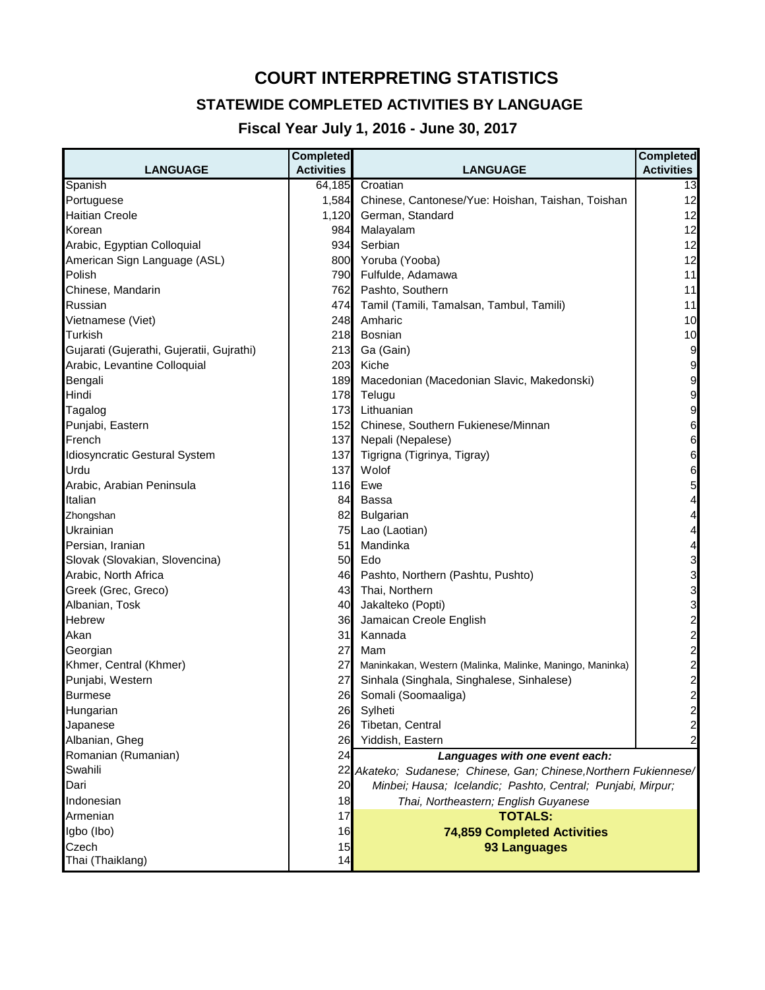## **COURT INTERPRETING STATISTICS**

### **STATEWIDE COMPLETED ACTIVITIES BY LANGUAGE**

### **Fiscal Year July 1, 2016 - June 30, 2017**

| <b>LANGUAGE</b>                           | <b>Completed</b><br><b>Activities</b> | <b>LANGUAGE</b>                                                   | <b>Completed</b><br><b>Activities</b> |
|-------------------------------------------|---------------------------------------|-------------------------------------------------------------------|---------------------------------------|
| Spanish                                   | 64,185                                | Croatian                                                          | 13                                    |
| Portuguese                                | 1,584                                 | Chinese, Cantonese/Yue: Hoishan, Taishan, Toishan                 | 12                                    |
| <b>Haitian Creole</b>                     | 1,120                                 | German, Standard                                                  | 12                                    |
| Korean                                    | 984                                   | Malayalam                                                         | 12                                    |
| Arabic, Egyptian Colloquial               | 934                                   | Serbian                                                           | 12                                    |
| American Sign Language (ASL)              | 800                                   | Yoruba (Yooba)                                                    | 12                                    |
| Polish                                    | 790                                   | Fulfulde, Adamawa                                                 | 11                                    |
| Chinese, Mandarin                         | 762                                   | Pashto, Southern                                                  | 11                                    |
| Russian                                   | 474                                   | Tamil (Tamili, Tamalsan, Tambul, Tamili)                          | 11                                    |
| Vietnamese (Viet)                         | 248                                   | Amharic                                                           | 10                                    |
| Turkish                                   | 218                                   | <b>Bosnian</b>                                                    | 10                                    |
| Gujarati (Gujerathi, Gujeratii, Gujrathi) | 213                                   | Ga (Gain)                                                         | 9                                     |
| Arabic, Levantine Colloquial              | 203                                   | Kiche                                                             | 9                                     |
| Bengali                                   | 189                                   | Macedonian (Macedonian Slavic, Makedonski)                        | 9                                     |
| Hindi                                     | 178                                   | Telugu                                                            | 9                                     |
| Tagalog                                   | 173                                   | Lithuanian                                                        | 9                                     |
| Punjabi, Eastern                          | 152                                   | Chinese, Southern Fukienese/Minnan                                | $\,$ 6 $\,$                           |
| French                                    | 137                                   | Nepali (Nepalese)                                                 | $\,$ 6 $\,$                           |
| Idiosyncratic Gestural System             | 137                                   | Tigrigna (Tigrinya, Tigray)                                       | $\,$ 6 $\,$                           |
| Urdu                                      | 137                                   | Wolof                                                             | 6                                     |
| Arabic, Arabian Peninsula                 | 116                                   | Ewe                                                               | 5                                     |
| Italian                                   | 84                                    | Bassa                                                             | $\overline{4}$                        |
| Zhongshan                                 | 82                                    | <b>Bulgarian</b>                                                  | $\overline{4}$                        |
| Ukrainian                                 | 75                                    | Lao (Laotian)                                                     | $\overline{4}$                        |
| Persian, Iranian                          | 51                                    | Mandinka                                                          | $\overline{4}$                        |
| Slovak (Slovakian, Slovencina)            | 50                                    | Edo                                                               | $\overline{3}$                        |
| Arabic, North Africa                      | 46                                    | Pashto, Northern (Pashtu, Pushto)                                 | $\overline{3}$                        |
| Greek (Grec, Greco)                       | 43                                    | Thai, Northern                                                    | $\overline{3}$                        |
| Albanian, Tosk                            | 40                                    | Jakalteko (Popti)                                                 | $\overline{3}$                        |
| Hebrew                                    | 36                                    | Jamaican Creole English                                           |                                       |
| Akan                                      | 31                                    | Kannada                                                           |                                       |
| Georgian                                  | 27                                    | Mam                                                               |                                       |
| Khmer, Central (Khmer)                    | 27                                    | Maninkakan, Western (Malinka, Malinke, Maningo, Maninka)          |                                       |
| Punjabi, Western                          | 27                                    | Sinhala (Singhala, Singhalese, Sinhalese)                         | 222222                                |
| Burmese                                   | 26                                    | Somali (Soomaaliga)                                               |                                       |
| Hungarıan                                 | 26                                    | Sylheti                                                           |                                       |
| Japanese                                  | 26                                    | Tibetan, Central                                                  | $\overline{\mathbf{c}}$               |
| Albanian, Gheg                            | 26                                    | Yiddish, Eastern                                                  | $\overline{a}$                        |
| Romanian (Rumanian)                       | 24                                    | Languages with one event each:                                    |                                       |
| Swahili                                   |                                       | 22 Akateko; Sudanese; Chinese, Gan; Chinese, Northern Fukiennese/ |                                       |
| Dari                                      | 20                                    | Minbei; Hausa; Icelandic; Pashto, Central; Punjabi, Mirpur;       |                                       |
| Indonesian                                | 18                                    | Thai, Northeastern; English Guyanese                              |                                       |
| Armenian                                  | 17                                    | <b>TOTALS:</b>                                                    |                                       |
| Igbo (Ibo)                                | 16                                    | <b>74,859 Completed Activities</b>                                |                                       |
| Czech                                     | 15                                    | 93 Languages                                                      |                                       |
| Thai (Thaiklang)                          | 14                                    |                                                                   |                                       |